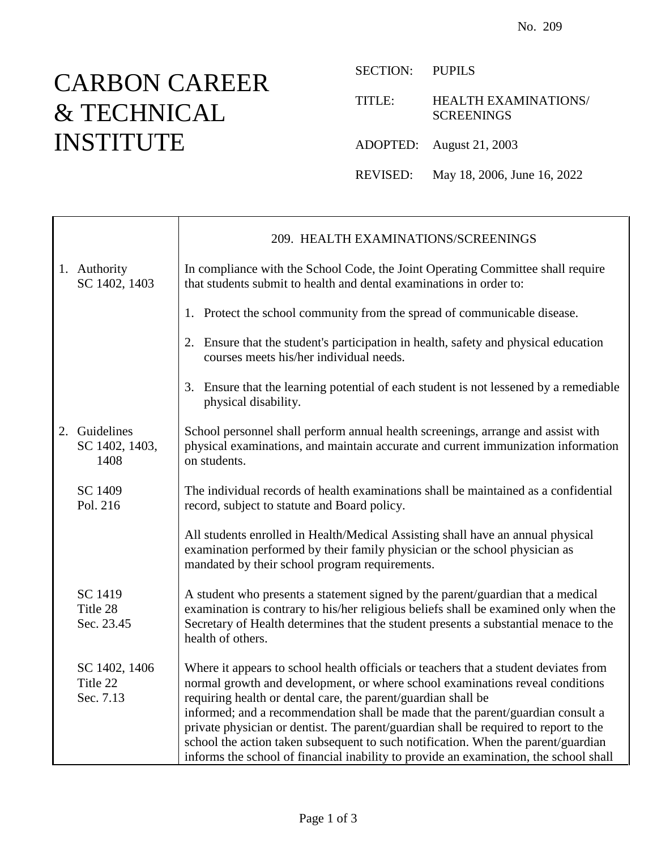## CARBON CAREER & TECHNICAL INSTITUTE

SECTION: PUPILS

TITLE: HEALTH EXAMINATIONS/ **SCREENINGS** 

ADOPTED: August 21, 2003

REVISED: May 18, 2006, June 16, 2022

|                                         | 209. HEALTH EXAMINATIONS/SCREENINGS                                                                                                                                                                                                                                                                                                                                                                                                                                                                                                                                                             |
|-----------------------------------------|-------------------------------------------------------------------------------------------------------------------------------------------------------------------------------------------------------------------------------------------------------------------------------------------------------------------------------------------------------------------------------------------------------------------------------------------------------------------------------------------------------------------------------------------------------------------------------------------------|
| 1. Authority<br>SC 1402, 1403           | In compliance with the School Code, the Joint Operating Committee shall require<br>that students submit to health and dental examinations in order to:                                                                                                                                                                                                                                                                                                                                                                                                                                          |
|                                         | 1. Protect the school community from the spread of communicable disease.                                                                                                                                                                                                                                                                                                                                                                                                                                                                                                                        |
|                                         | 2. Ensure that the student's participation in health, safety and physical education<br>courses meets his/her individual needs.                                                                                                                                                                                                                                                                                                                                                                                                                                                                  |
|                                         | 3. Ensure that the learning potential of each student is not lessened by a remediable<br>physical disability.                                                                                                                                                                                                                                                                                                                                                                                                                                                                                   |
| 2. Guidelines<br>SC 1402, 1403,<br>1408 | School personnel shall perform annual health screenings, arrange and assist with<br>physical examinations, and maintain accurate and current immunization information<br>on students.                                                                                                                                                                                                                                                                                                                                                                                                           |
| SC 1409<br>Pol. 216                     | The individual records of health examinations shall be maintained as a confidential<br>record, subject to statute and Board policy.                                                                                                                                                                                                                                                                                                                                                                                                                                                             |
|                                         | All students enrolled in Health/Medical Assisting shall have an annual physical<br>examination performed by their family physician or the school physician as<br>mandated by their school program requirements.                                                                                                                                                                                                                                                                                                                                                                                 |
| SC 1419<br>Title 28<br>Sec. 23.45       | A student who presents a statement signed by the parent/guardian that a medical<br>examination is contrary to his/her religious beliefs shall be examined only when the<br>Secretary of Health determines that the student presents a substantial menace to the<br>health of others.                                                                                                                                                                                                                                                                                                            |
| SC 1402, 1406<br>Title 22<br>Sec. 7.13  | Where it appears to school health officials or teachers that a student deviates from<br>normal growth and development, or where school examinations reveal conditions<br>requiring health or dental care, the parent/guardian shall be<br>informed; and a recommendation shall be made that the parent/guardian consult a<br>private physician or dentist. The parent/guardian shall be required to report to the<br>school the action taken subsequent to such notification. When the parent/guardian<br>informs the school of financial inability to provide an examination, the school shall |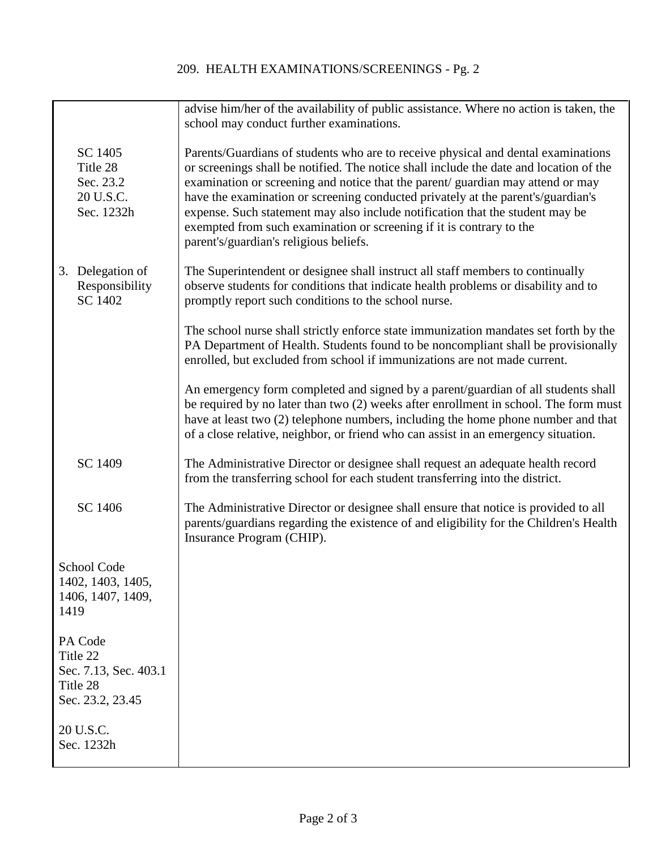## 209. HEALTH EXAMINATIONS/SCREENINGS - Pg. 2

|                                                                              | advise him/her of the availability of public assistance. Where no action is taken, the<br>school may conduct further examinations.                                                                                                                                                                                                                                                                                                                                                                                                                    |
|------------------------------------------------------------------------------|-------------------------------------------------------------------------------------------------------------------------------------------------------------------------------------------------------------------------------------------------------------------------------------------------------------------------------------------------------------------------------------------------------------------------------------------------------------------------------------------------------------------------------------------------------|
| SC 1405<br>Title 28<br>Sec. 23.2<br>20 U.S.C.<br>Sec. 1232h                  | Parents/Guardians of students who are to receive physical and dental examinations<br>or screenings shall be notified. The notice shall include the date and location of the<br>examination or screening and notice that the parent/ guardian may attend or may<br>have the examination or screening conducted privately at the parent's/guardian's<br>expense. Such statement may also include notification that the student may be<br>exempted from such examination or screening if it is contrary to the<br>parent's/guardian's religious beliefs. |
| Delegation of<br>3.<br>Responsibility<br>SC 1402                             | The Superintendent or designee shall instruct all staff members to continually<br>observe students for conditions that indicate health problems or disability and to<br>promptly report such conditions to the school nurse.                                                                                                                                                                                                                                                                                                                          |
|                                                                              | The school nurse shall strictly enforce state immunization mandates set forth by the<br>PA Department of Health. Students found to be noncompliant shall be provisionally<br>enrolled, but excluded from school if immunizations are not made current.                                                                                                                                                                                                                                                                                                |
|                                                                              | An emergency form completed and signed by a parent/guardian of all students shall<br>be required by no later than two (2) weeks after enrollment in school. The form must<br>have at least two (2) telephone numbers, including the home phone number and that<br>of a close relative, neighbor, or friend who can assist in an emergency situation.                                                                                                                                                                                                  |
| SC 1409                                                                      | The Administrative Director or designee shall request an adequate health record<br>from the transferring school for each student transferring into the district.                                                                                                                                                                                                                                                                                                                                                                                      |
| SC 1406                                                                      | The Administrative Director or designee shall ensure that notice is provided to all<br>parents/guardians regarding the existence of and eligibility for the Children's Health<br>Insurance Program (CHIP).                                                                                                                                                                                                                                                                                                                                            |
| School Code<br>1402, 1403, 1405,<br>1406, 1407, 1409,<br>1419                |                                                                                                                                                                                                                                                                                                                                                                                                                                                                                                                                                       |
| PA Code<br>Title 22<br>Sec. 7.13, Sec. 403.1<br>Title 28<br>Sec. 23.2, 23.45 |                                                                                                                                                                                                                                                                                                                                                                                                                                                                                                                                                       |
| 20 U.S.C.<br>Sec. 1232h                                                      |                                                                                                                                                                                                                                                                                                                                                                                                                                                                                                                                                       |